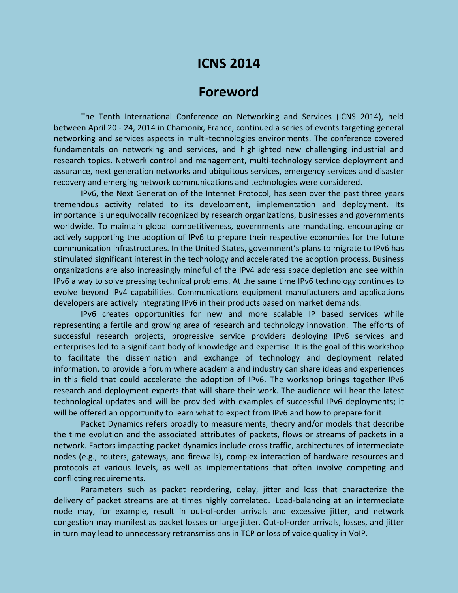# **ICNS 2014**

## **Foreword**

The Tenth International Conference on Networking and Services (ICNS 2014), held between April 20 - 24, 2014 in Chamonix, France, continued a series of events targeting general networking and services aspects in multi-technologies environments. The conference covered fundamentals on networking and services, and highlighted new challenging industrial and research topics. Network control and management, multi-technology service deployment and assurance, next generation networks and ubiquitous services, emergency services and disaster recovery and emerging network communications and technologies were considered.

IPv6, the Next Generation of the Internet Protocol, has seen over the past three years tremendous activity related to its development, implementation and deployment. Its importance is unequivocally recognized by research organizations, businesses and governments worldwide. To maintain global competitiveness, governments are mandating, encouraging or actively supporting the adoption of IPv6 to prepare their respective economies for the future communication infrastructures. In the United States, government's plans to migrate to IPv6 has stimulated significant interest in the technology and accelerated the adoption process. Business organizations are also increasingly mindful of the IPv4 address space depletion and see within IPv6 a way to solve pressing technical problems. At the same time IPv6 technology continues to evolve beyond IPv4 capabilities. Communications equipment manufacturers and applications developers are actively integrating IPv6 in their products based on market demands.

IPv6 creates opportunities for new and more scalable IP based services while representing a fertile and growing area of research and technology innovation. The efforts of successful research projects, progressive service providers deploying IPv6 services and enterprises led to a significant body of knowledge and expertise. It is the goal of this workshop to facilitate the dissemination and exchange of technology and deployment related information, to provide a forum where academia and industry can share ideas and experiences in this field that could accelerate the adoption of IPv6. The workshop brings together IPv6 research and deployment experts that will share their work. The audience will hear the latest technological updates and will be provided with examples of successful IPv6 deployments; it will be offered an opportunity to learn what to expect from IPv6 and how to prepare for it.

Packet Dynamics refers broadly to measurements, theory and/or models that describe the time evolution and the associated attributes of packets, flows or streams of packets in a network. Factors impacting packet dynamics include cross traffic, architectures of intermediate nodes (e.g., routers, gateways, and firewalls), complex interaction of hardware resources and protocols at various levels, as well as implementations that often involve competing and conflicting requirements.

Parameters such as packet reordering, delay, jitter and loss that characterize the delivery of packet streams are at times highly correlated. Load-balancing at an intermediate node may, for example, result in out-of-order arrivals and excessive jitter, and network congestion may manifest as packet losses or large jitter. Out-of-order arrivals, losses, and jitter in turn may lead to unnecessary retransmissions in TCP or loss of voice quality in VoIP.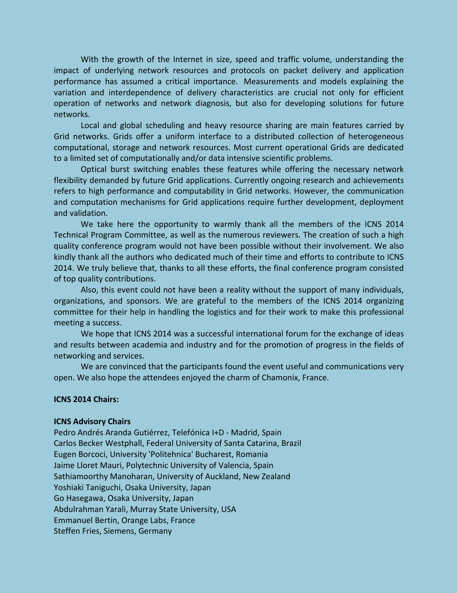With the growth of the Internet in size, speed and traffic volume, understanding the impact of underlying network resources and protocols on packet delivery and application performance has assumed a critical importance. Measurements and models explaining the variation and interdependence of delivery characteristics are crucial not only for efficient operation of networks and network diagnosis, but also for developing solutions for future networks.

Local and global scheduling and heavy resource sharing are main features carried by Grid networks. Grids offer a uniform interface to a distributed collection of heterogeneous computational, storage and network resources. Most current operational Grids are dedicated to a limited set of computationally and/or data intensive scientific problems.

Optical burst switching enables these features while offering the necessary network flexibility demanded by future Grid applications. Currently ongoing research and achievements refers to high performance and computability in Grid networks. However, the communication and computation mechanisms for Grid applications require further development, deployment and validation.

We take here the opportunity to warmly thank all the members of the ICNS 2014 Technical Program Committee, as well as the numerous reviewers. The creation of such a high quality conference program would not have been possible without their involvement. We also kindly thank all the authors who dedicated much of their time and efforts to contribute to ICNS 2014. We truly believe that, thanks to all these efforts, the final conference program consisted of top quality contributions.

Also, this event could not have been a reality without the support of many individuals, organizations, and sponsors. We are grateful to the members of the ICNS 2014 organizing committee for their help in handling the logistics and for their work to make this professional meeting a success.

We hope that ICNS 2014 was a successful international forum for the exchange of ideas and results between academia and industry and for the promotion of progress in the fields of networking and services.

We are convinced that the participants found the event useful and communications very open. We also hope the attendees enjoyed the charm of Chamonix, France.

#### **ICNS 2014 Chairs:**

#### **ICNS Advisory Chairs**

Pedro Andrés Aranda Gutiérrez, Telefónica I+D - Madrid, Spain Carlos Becker Westphall, Federal University of Santa Catarina, Brazil Eugen Borcoci, University 'Politehnica' Bucharest, Romania Jaime Lloret Mauri, Polytechnic University of Valencia, Spain Sathiamoorthy Manoharan, University of Auckland, New Zealand Yoshiaki Taniguchi, Osaka University, Japan Go Hasegawa, Osaka University, Japan Abdulrahman Yarali, Murray State University, USA Emmanuel Bertin, Orange Labs, France Steffen Fries, Siemens, Germany